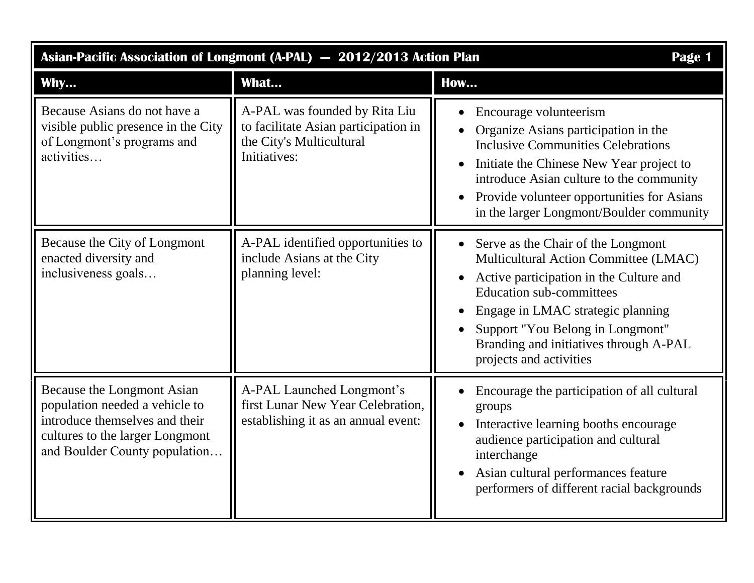| Asian-Pacific Association of Longmont (A-PAL) - 2012/2013 Action Plan<br>Page 1                                                                                    |                                                                                                                   |                                                                                                                                                                                                                                                                                                                         |  |
|--------------------------------------------------------------------------------------------------------------------------------------------------------------------|-------------------------------------------------------------------------------------------------------------------|-------------------------------------------------------------------------------------------------------------------------------------------------------------------------------------------------------------------------------------------------------------------------------------------------------------------------|--|
| Why                                                                                                                                                                | What                                                                                                              | <b>How</b>                                                                                                                                                                                                                                                                                                              |  |
| Because Asians do not have a<br>visible public presence in the City<br>of Longmont's programs and<br>activities                                                    | A-PAL was founded by Rita Liu<br>to facilitate Asian participation in<br>the City's Multicultural<br>Initiatives: | Encourage volunteerism<br>$\bullet$<br>Organize Asians participation in the<br><b>Inclusive Communities Celebrations</b><br>Initiate the Chinese New Year project to<br>$\bullet$<br>introduce Asian culture to the community<br>Provide volunteer opportunities for Asians<br>in the larger Longmont/Boulder community |  |
| Because the City of Longmont<br>enacted diversity and<br>inclusiveness goals                                                                                       | A-PAL identified opportunities to<br>include Asians at the City<br>planning level:                                | Serve as the Chair of the Longmont<br>Multicultural Action Committee (LMAC)<br>Active participation in the Culture and<br><b>Education sub-committees</b><br>Engage in LMAC strategic planning<br>Support "You Belong in Longmont"<br>Branding and initiatives through A-PAL<br>projects and activities                 |  |
| Because the Longmont Asian<br>population needed a vehicle to<br>introduce themselves and their<br>cultures to the larger Longmont<br>and Boulder County population | A-PAL Launched Longmont's<br>first Lunar New Year Celebration,<br>establishing it as an annual event:             | Encourage the participation of all cultural<br>groups<br>Interactive learning booths encourage<br>$\bullet$<br>audience participation and cultural<br>interchange<br>Asian cultural performances feature<br>performers of different racial backgrounds                                                                  |  |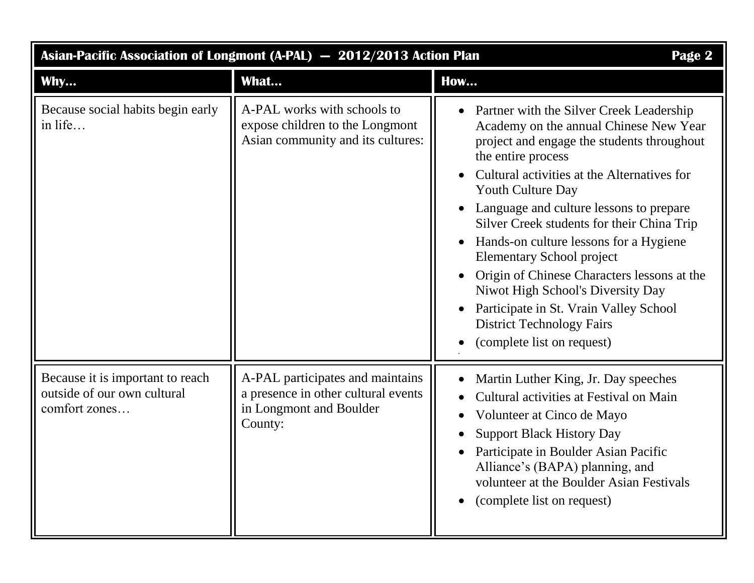| Asian-Pacific Association of Longmont (A-PAL) - 2012/2013 Action Plan<br>Page 2  |                                                                                                               |                                                                                                                                                                                                                                                                                                                                                                                                                                                                                                                                                                                                                       |  |
|----------------------------------------------------------------------------------|---------------------------------------------------------------------------------------------------------------|-----------------------------------------------------------------------------------------------------------------------------------------------------------------------------------------------------------------------------------------------------------------------------------------------------------------------------------------------------------------------------------------------------------------------------------------------------------------------------------------------------------------------------------------------------------------------------------------------------------------------|--|
| Why                                                                              | What                                                                                                          | How                                                                                                                                                                                                                                                                                                                                                                                                                                                                                                                                                                                                                   |  |
| Because social habits begin early<br>in life                                     | A-PAL works with schools to<br>expose children to the Longmont<br>Asian community and its cultures:           | Partner with the Silver Creek Leadership<br>$\bullet$<br>Academy on the annual Chinese New Year<br>project and engage the students throughout<br>the entire process<br>Cultural activities at the Alternatives for<br><b>Youth Culture Day</b><br>Language and culture lessons to prepare<br>Silver Creek students for their China Trip<br>Hands-on culture lessons for a Hygiene<br><b>Elementary School project</b><br>Origin of Chinese Characters lessons at the<br>Niwot High School's Diversity Day<br>Participate in St. Vrain Valley School<br><b>District Technology Fairs</b><br>(complete list on request) |  |
| Because it is important to reach<br>outside of our own cultural<br>comfort zones | A-PAL participates and maintains<br>a presence in other cultural events<br>in Longmont and Boulder<br>County: | Martin Luther King, Jr. Day speeches<br>Cultural activities at Festival on Main<br>Volunteer at Cinco de Mayo<br>$\bullet$<br><b>Support Black History Day</b><br>Participate in Boulder Asian Pacific<br>Alliance's (BAPA) planning, and<br>volunteer at the Boulder Asian Festivals<br>(complete list on request)                                                                                                                                                                                                                                                                                                   |  |